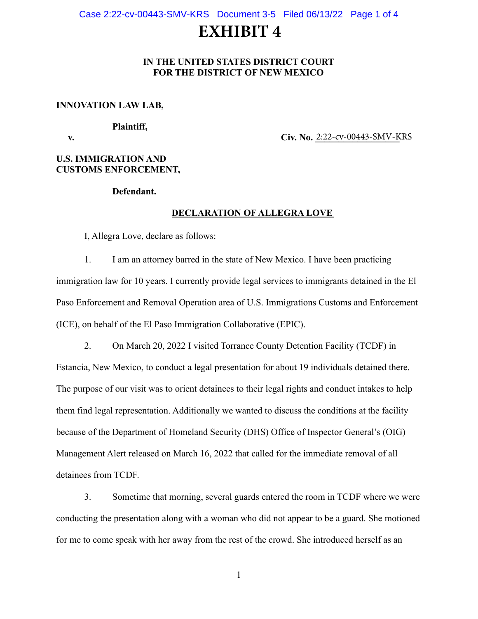Case 2:22-cv-00443-SMV-KRS Document 3-5 Filed 06/13/22 Page 1 of 4

# **EXHIBIT 4**

## **IN THE UNITED STATES DISTRICT COURT FOR THE DISTRICT OF NEW MEXICO**

#### **INNOVATION LAW LAB,**

#### **Plaintiff,**

**v. Civ. No.** 2:22-cv-00443-SMV-KRS

# **U.S. IMMIGRATION AND CUSTOMS ENFORCEMENT,**

#### **Defendant.**

### **DECLARATION OF ALLEGRA LOVE**

I, Allegra Love, declare as follows:

1. I am an attorney barred in the state of New Mexico. I have been practicing immigration law for 10 years. I currently provide legal services to immigrants detained in the El Paso Enforcement and Removal Operation area of U.S. Immigrations Customs and Enforcement (ICE), on behalf of the El Paso Immigration Collaborative (EPIC).

2. On March 20, 2022 I visited Torrance County Detention Facility (TCDF) in Estancia, New Mexico, to conduct a legal presentation for about 19 individuals detained there. The purpose of our visit was to orient detainees to their legal rights and conduct intakes to help them find legal representation. Additionally we wanted to discuss the conditions at the facility because of the Department of Homeland Security (DHS) Office of Inspector General's (OIG) Management Alert released on March 16, 2022 that called for the immediate removal of all detainees from TCDF.

3. Sometime that morning, several guards entered the room in TCDF where we were conducting the presentation along with a woman who did not appear to be a guard. She motioned for me to come speak with her away from the rest of the crowd. She introduced herself as an

1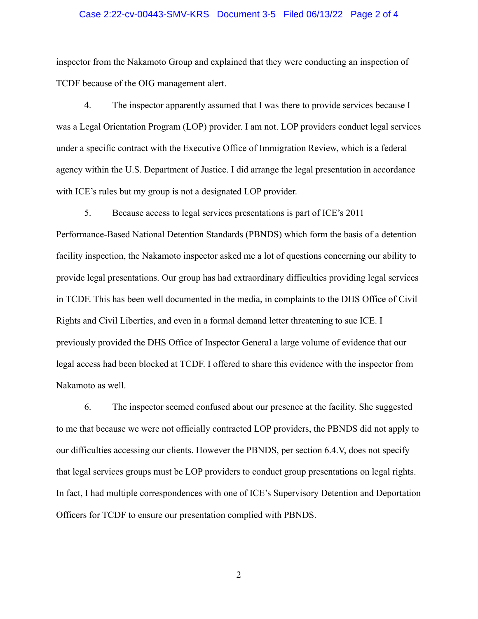#### Case 2:22-cv-00443-SMV-KRS Document 3-5 Filed 06/13/22 Page 2 of 4

inspector from the Nakamoto Group and explained that they were conducting an inspection of TCDF because of the OIG management alert.

4. The inspector apparently assumed that I was there to provide services because I was a Legal Orientation Program (LOP) provider. I am not. LOP providers conduct legal services under a specific contract with the Executive Office of Immigration Review, which is a federal agency within the U.S. Department of Justice. I did arrange the legal presentation in accordance with ICE's rules but my group is not a designated LOP provider.

5. Because access to legal services presentations is part of ICE's 2011 Performance-Based National Detention Standards (PBNDS) which form the basis of a detention facility inspection, the Nakamoto inspector asked me a lot of questions concerning our ability to provide legal presentations. Our group has had extraordinary difficulties providing legal services in TCDF. This has been well documented in the media, in complaints to the DHS Office of Civil Rights and Civil Liberties, and even in a formal demand letter threatening to sue ICE. I previously provided the DHS Office of Inspector General a large volume of evidence that our legal access had been blocked at TCDF. I offered to share this evidence with the inspector from Nakamoto as well.

6. The inspector seemed confused about our presence at the facility. She suggested to me that because we were not officially contracted LOP providers, the PBNDS did not apply to our difficulties accessing our clients. However the PBNDS, per section 6.4.V, does not specify that legal services groups must be LOP providers to conduct group presentations on legal rights. In fact, I had multiple correspondences with one of ICE's Supervisory Detention and Deportation Officers for TCDF to ensure our presentation complied with PBNDS.

2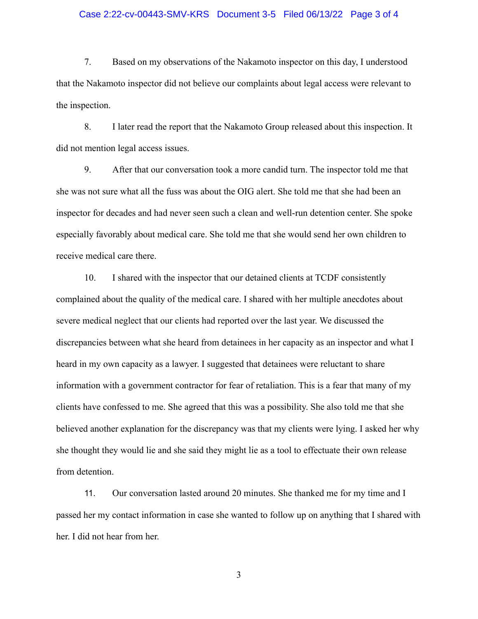#### Case 2:22-cv-00443-SMV-KRS Document 3-5 Filed 06/13/22 Page 3 of 4

7. Based on my observations of the Nakamoto inspector on this day, I understood that the Nakamoto inspector did not believe our complaints about legal access were relevant to the inspection.

8. I later read the report that the Nakamoto Group released about this inspection. It did not mention legal access issues.

9. After that our conversation took a more candid turn. The inspector told me that she was not sure what all the fuss was about the OIG alert. She told me that she had been an inspector for decades and had never seen such a clean and well-run detention center. She spoke especially favorably about medical care. She told me that she would send her own children to receive medical care there.

10. I shared with the inspector that our detained clients at TCDF consistently complained about the quality of the medical care. I shared with her multiple anecdotes about severe medical neglect that our clients had reported over the last year. We discussed the discrepancies between what she heard from detainees in her capacity as an inspector and what I heard in my own capacity as a lawyer. I suggested that detainees were reluctant to share information with a government contractor for fear of retaliation. This is a fear that many of my clients have confessed to me. She agreed that this was a possibility. She also told me that she believed another explanation for the discrepancy was that my clients were lying. I asked her why she thought they would lie and she said they might lie as a tool to effectuate their own release from detention.

11. Our conversation lasted around 20 minutes. She thanked me for my time and I passed her my contact information in case she wanted to follow up on anything that I shared with her. I did not hear from her.

3